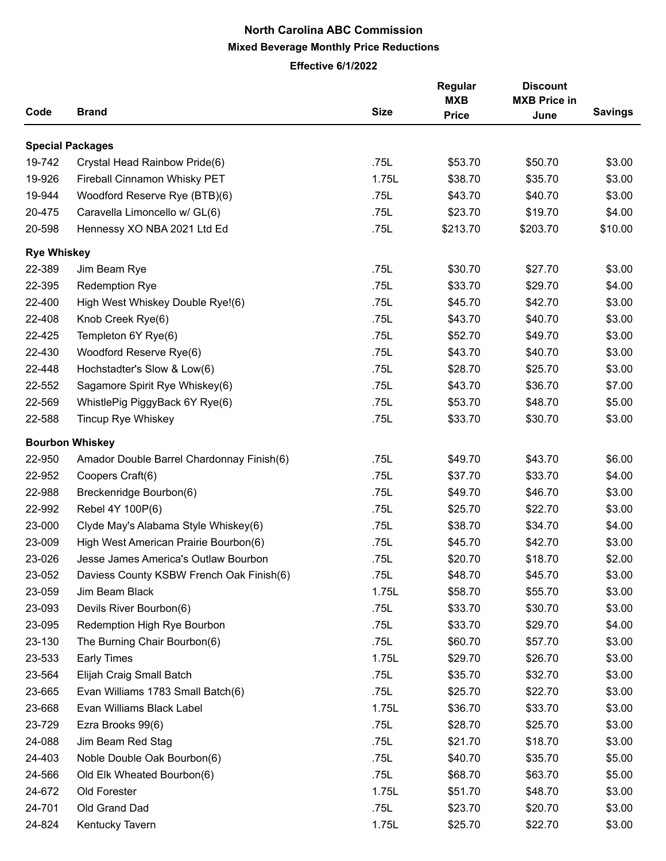## **North Carolina ABC Commission Mixed Beverage Monthly Price Reductions**

**Effective 6/1/2022**

|                    |                                           |             | Regular      | <b>Discount</b>     |                |  |
|--------------------|-------------------------------------------|-------------|--------------|---------------------|----------------|--|
|                    |                                           |             | <b>MXB</b>   | <b>MXB Price in</b> |                |  |
| Code               | <b>Brand</b>                              | <b>Size</b> | <b>Price</b> | June                | <b>Savings</b> |  |
|                    | <b>Special Packages</b>                   |             |              |                     |                |  |
| 19-742             | Crystal Head Rainbow Pride(6)             | .75L        | \$53.70      | \$50.70             | \$3.00         |  |
| 19-926             | Fireball Cinnamon Whisky PET              | 1.75L       | \$38.70      | \$35.70             | \$3.00         |  |
| 19-944             | Woodford Reserve Rye (BTB)(6)             | .75L        | \$43.70      | \$40.70             | \$3.00         |  |
| 20-475             | Caravella Limoncello w/ GL(6)             | .75L        | \$23.70      | \$19.70             | \$4.00         |  |
| 20-598             | Hennessy XO NBA 2021 Ltd Ed               | .75L        | \$213.70     | \$203.70            | \$10.00        |  |
| <b>Rye Whiskey</b> |                                           |             |              |                     |                |  |
| 22-389             | Jim Beam Rye                              | .75L        | \$30.70      | \$27.70             | \$3.00         |  |
| 22-395             | <b>Redemption Rye</b>                     | .75L        | \$33.70      | \$29.70             | \$4.00         |  |
| 22-400             | High West Whiskey Double Rye!(6)          | .75L        | \$45.70      | \$42.70             | \$3.00         |  |
| 22-408             | Knob Creek Rye(6)                         | .75L        | \$43.70      | \$40.70             | \$3.00         |  |
| 22-425             | Templeton 6Y Rye(6)                       | .75L        | \$52.70      | \$49.70             | \$3.00         |  |
| 22-430             | Woodford Reserve Rye(6)                   | .75L        | \$43.70      | \$40.70             | \$3.00         |  |
| 22-448             | Hochstadter's Slow & Low(6)               | .75L        | \$28.70      | \$25.70             | \$3.00         |  |
| 22-552             | Sagamore Spirit Rye Whiskey(6)            | .75L        | \$43.70      | \$36.70             | \$7.00         |  |
| 22-569             | WhistlePig PiggyBack 6Y Rye(6)            | .75L        | \$53.70      | \$48.70             | \$5.00         |  |
| 22-588             | Tincup Rye Whiskey                        | .75L        | \$33.70      | \$30.70             | \$3.00         |  |
|                    | <b>Bourbon Whiskey</b>                    |             |              |                     |                |  |
| 22-950             | Amador Double Barrel Chardonnay Finish(6) | .75L        | \$49.70      | \$43.70             | \$6.00         |  |
| 22-952             | Coopers Craft(6)                          | .75L        | \$37.70      | \$33.70             | \$4.00         |  |
| 22-988             | Breckenridge Bourbon(6)                   | .75L        | \$49.70      | \$46.70             | \$3.00         |  |
| 22-992             | Rebel 4Y 100P(6)                          | .75L        | \$25.70      | \$22.70             | \$3.00         |  |
| 23-000             | Clyde May's Alabama Style Whiskey(6)      | .75L        | \$38.70      | \$34.70             | \$4.00         |  |
| 23-009             | High West American Prairie Bourbon(6)     | .75L        | \$45.70      | \$42.70             | \$3.00         |  |
| 23-026             | Jesse James America's Outlaw Bourbon      | .75L        | \$20.70      | \$18.70             | \$2.00         |  |
| 23-052             | Daviess County KSBW French Oak Finish(6)  | .75L        | \$48.70      | \$45.70             | \$3.00         |  |
| 23-059             | Jim Beam Black                            | 1.75L       | \$58.70      | \$55.70             | \$3.00         |  |
| 23-093             | Devils River Bourbon(6)                   | .75L        | \$33.70      | \$30.70             | \$3.00         |  |
| 23-095             | Redemption High Rye Bourbon               | .75L        | \$33.70      | \$29.70             | \$4.00         |  |
| 23-130             | The Burning Chair Bourbon(6)              | .75L        | \$60.70      | \$57.70             | \$3.00         |  |
| 23-533             | <b>Early Times</b>                        | 1.75L       | \$29.70      | \$26.70             | \$3.00         |  |
| 23-564             | Elijah Craig Small Batch                  | .75L        | \$35.70      | \$32.70             | \$3.00         |  |
| 23-665             | Evan Williams 1783 Small Batch(6)         | .75L        | \$25.70      | \$22.70             | \$3.00         |  |
| 23-668             | Evan Williams Black Label                 | 1.75L       | \$36.70      | \$33.70             | \$3.00         |  |
| 23-729             | Ezra Brooks 99(6)                         | .75L        | \$28.70      | \$25.70             | \$3.00         |  |
| 24-088             | Jim Beam Red Stag                         | .75L        | \$21.70      | \$18.70             | \$3.00         |  |
| 24-403             | Noble Double Oak Bourbon(6)               | .75L        | \$40.70      | \$35.70             | \$5.00         |  |
| 24-566             | Old Elk Wheated Bourbon(6)                | .75L        | \$68.70      | \$63.70             | \$5.00         |  |
| 24-672             | Old Forester                              | 1.75L       | \$51.70      | \$48.70             | \$3.00         |  |
| 24-701             | Old Grand Dad                             | .75L        | \$23.70      | \$20.70             | \$3.00         |  |
| 24-824             | Kentucky Tavern                           | 1.75L       | \$25.70      | \$22.70             | \$3.00         |  |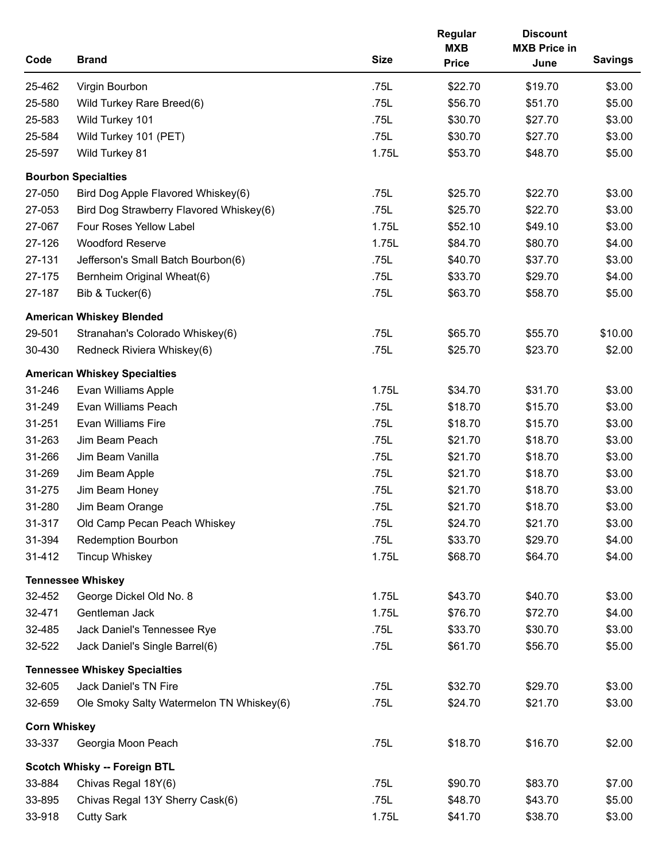| Code                | <b>Brand</b>                             | <b>Size</b> | Regular<br><b>MXB</b><br><b>Price</b> | <b>Discount</b><br><b>MXB Price in</b><br>June | <b>Savings</b> |
|---------------------|------------------------------------------|-------------|---------------------------------------|------------------------------------------------|----------------|
| 25-462              | Virgin Bourbon                           | .75L        | \$22.70                               | \$19.70                                        | \$3.00         |
| 25-580              | Wild Turkey Rare Breed(6)                | .75L        | \$56.70                               | \$51.70                                        | \$5.00         |
| 25-583              | Wild Turkey 101                          | .75L        | \$30.70                               | \$27.70                                        | \$3.00         |
| 25-584              | Wild Turkey 101 (PET)                    | .75L        | \$30.70                               | \$27.70                                        | \$3.00         |
| 25-597              | Wild Turkey 81                           | 1.75L       | \$53.70                               | \$48.70                                        | \$5.00         |
|                     | <b>Bourbon Specialties</b>               |             |                                       |                                                |                |
| 27-050              | Bird Dog Apple Flavored Whiskey(6)       | .75L        | \$25.70                               | \$22.70                                        | \$3.00         |
| 27-053              | Bird Dog Strawberry Flavored Whiskey(6)  | .75L        | \$25.70                               | \$22.70                                        | \$3.00         |
| 27-067              | Four Roses Yellow Label                  | 1.75L       | \$52.10                               | \$49.10                                        | \$3.00         |
| 27-126              | <b>Woodford Reserve</b>                  | 1.75L       | \$84.70                               | \$80.70                                        | \$4.00         |
| 27-131              | Jefferson's Small Batch Bourbon(6)       | .75L        | \$40.70                               | \$37.70                                        | \$3.00         |
| 27-175              | Bernheim Original Wheat(6)               | .75L        | \$33.70                               | \$29.70                                        | \$4.00         |
| 27-187              | Bib & Tucker(6)                          | .75L        | \$63.70                               | \$58.70                                        | \$5.00         |
|                     | <b>American Whiskey Blended</b>          |             |                                       |                                                |                |
| 29-501              | Stranahan's Colorado Whiskey(6)          | .75L        | \$65.70                               | \$55.70                                        | \$10.00        |
| 30-430              | Redneck Riviera Whiskey(6)               | .75L        | \$25.70                               | \$23.70                                        | \$2.00         |
|                     | <b>American Whiskey Specialties</b>      |             |                                       |                                                |                |
| 31-246              | Evan Williams Apple                      | 1.75L       | \$34.70                               | \$31.70                                        | \$3.00         |
| 31-249              | Evan Williams Peach                      | .75L        | \$18.70                               | \$15.70                                        | \$3.00         |
| 31-251              | <b>Evan Williams Fire</b>                | .75L        | \$18.70                               | \$15.70                                        | \$3.00         |
| 31-263              | Jim Beam Peach                           | .75L        | \$21.70                               | \$18.70                                        | \$3.00         |
| 31-266              | Jim Beam Vanilla                         | .75L        | \$21.70                               | \$18.70                                        | \$3.00         |
| 31-269              | Jim Beam Apple                           | .75L        | \$21.70                               | \$18.70                                        | \$3.00         |
| 31-275              | Jim Beam Honey                           | .75L        | \$21.70                               | \$18.70                                        | \$3.00         |
| 31-280              | Jim Beam Orange                          | .75L        | \$21.70                               | \$18.70                                        | \$3.00         |
| 31-317              | Old Camp Pecan Peach Whiskey             | .75L        | \$24.70                               | \$21.70                                        | \$3.00         |
| 31-394              | <b>Redemption Bourbon</b>                | .75L        | \$33.70                               | \$29.70                                        | \$4.00         |
| 31-412              | <b>Tincup Whiskey</b>                    | 1.75L       | \$68.70                               | \$64.70                                        | \$4.00         |
|                     | <b>Tennessee Whiskey</b>                 |             |                                       |                                                |                |
| 32-452              | George Dickel Old No. 8                  | 1.75L       | \$43.70                               | \$40.70                                        | \$3.00         |
| 32-471              | Gentleman Jack                           | 1.75L       | \$76.70                               | \$72.70                                        | \$4.00         |
| 32-485              | Jack Daniel's Tennessee Rye              | .75L        | \$33.70                               | \$30.70                                        | \$3.00         |
| 32-522              | Jack Daniel's Single Barrel(6)           | .75L        | \$61.70                               | \$56.70                                        | \$5.00         |
|                     | <b>Tennessee Whiskey Specialties</b>     |             |                                       |                                                |                |
| 32-605              | Jack Daniel's TN Fire                    | .75L        | \$32.70                               | \$29.70                                        | \$3.00         |
| 32-659              | Ole Smoky Salty Watermelon TN Whiskey(6) | .75L        | \$24.70                               | \$21.70                                        | \$3.00         |
| <b>Corn Whiskey</b> |                                          |             |                                       |                                                |                |
| 33-337              | Georgia Moon Peach                       | .75L        | \$18.70                               | \$16.70                                        | \$2.00         |
|                     | Scotch Whisky -- Foreign BTL             |             |                                       |                                                |                |
| 33-884              | Chivas Regal 18Y(6)                      | .75L        | \$90.70                               | \$83.70                                        | \$7.00         |
| 33-895              | Chivas Regal 13Y Sherry Cask(6)          | .75L        | \$48.70                               | \$43.70                                        | \$5.00         |
| 33-918              | <b>Cutty Sark</b>                        | 1.75L       | \$41.70                               | \$38.70                                        | \$3.00         |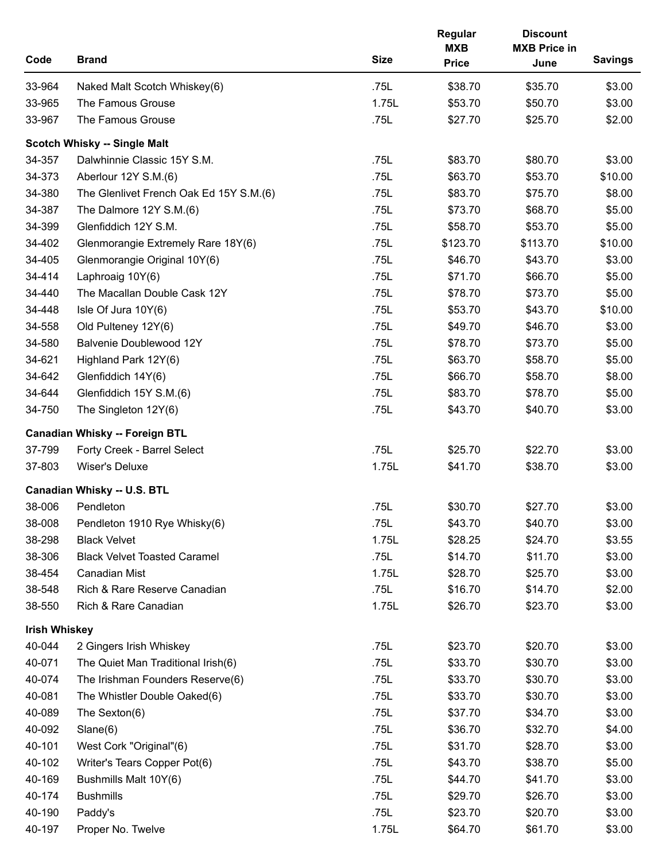| Code                 | <b>Brand</b>                            | <b>Size</b> | Regular<br><b>MXB</b><br><b>Price</b> | <b>Discount</b><br><b>MXB Price in</b><br>June | <b>Savings</b> |
|----------------------|-----------------------------------------|-------------|---------------------------------------|------------------------------------------------|----------------|
| 33-964               | Naked Malt Scotch Whiskey(6)            | .75L        | \$38.70                               | \$35.70                                        | \$3.00         |
| 33-965               | The Famous Grouse                       | 1.75L       | \$53.70                               | \$50.70                                        | \$3.00         |
| 33-967               | The Famous Grouse                       | .75L        | \$27.70                               | \$25.70                                        | \$2.00         |
|                      | Scotch Whisky -- Single Malt            |             |                                       |                                                |                |
| 34-357               | Dalwhinnie Classic 15Y S.M.             | .75L        | \$83.70                               | \$80.70                                        | \$3.00         |
| 34-373               | Aberlour 12Y S.M.(6)                    | .75L        | \$63.70                               | \$53.70                                        | \$10.00        |
| 34-380               | The Glenlivet French Oak Ed 15Y S.M.(6) | .75L        | \$83.70                               | \$75.70                                        | \$8.00         |
| 34-387               | The Dalmore 12Y S.M.(6)                 | .75L        | \$73.70                               | \$68.70                                        | \$5.00         |
| 34-399               | Glenfiddich 12Y S.M.                    | .75L        | \$58.70                               | \$53.70                                        | \$5.00         |
| 34-402               | Glenmorangie Extremely Rare 18Y(6)      | .75L        | \$123.70                              | \$113.70                                       | \$10.00        |
| 34-405               | Glenmorangie Original 10Y(6)            | .75L        | \$46.70                               | \$43.70                                        | \$3.00         |
| 34-414               | Laphroaig 10Y(6)                        | .75L        | \$71.70                               | \$66.70                                        | \$5.00         |
| 34-440               | The Macallan Double Cask 12Y            | .75L        | \$78.70                               | \$73.70                                        | \$5.00         |
| 34-448               | Isle Of Jura 10Y(6)                     | .75L        | \$53.70                               | \$43.70                                        | \$10.00        |
| 34-558               | Old Pulteney 12Y(6)                     | .75L        | \$49.70                               | \$46.70                                        | \$3.00         |
| 34-580               | Balvenie Doublewood 12Y                 | .75L        | \$78.70                               | \$73.70                                        | \$5.00         |
| 34-621               | Highland Park 12Y(6)                    | .75L        | \$63.70                               | \$58.70                                        | \$5.00         |
| 34-642               | Glenfiddich 14Y(6)                      | .75L        | \$66.70                               | \$58.70                                        | \$8.00         |
| 34-644               | Glenfiddich 15Y S.M.(6)                 | .75L        | \$83.70                               | \$78.70                                        | \$5.00         |
| 34-750               | The Singleton 12Y(6)                    | .75L        | \$43.70                               | \$40.70                                        | \$3.00         |
|                      | <b>Canadian Whisky -- Foreign BTL</b>   |             |                                       |                                                |                |
| 37-799               | Forty Creek - Barrel Select             | .75L        | \$25.70                               | \$22.70                                        | \$3.00         |
| 37-803               | Wiser's Deluxe                          | 1.75L       | \$41.70                               | \$38.70                                        | \$3.00         |
|                      | Canadian Whisky -- U.S. BTL             |             |                                       |                                                |                |
| 38-006               | Pendleton                               | .75L        | \$30.70                               | \$27.70                                        | \$3.00         |
| 38-008               | Pendleton 1910 Rye Whisky(6)            | .75L        | \$43.70                               | \$40.70                                        | \$3.00         |
| 38-298               | <b>Black Velvet</b>                     | 1.75L       | \$28.25                               | \$24.70                                        | \$3.55         |
| 38-306               | <b>Black Velvet Toasted Caramel</b>     | .75L        | \$14.70                               | \$11.70                                        | \$3.00         |
| 38-454               | <b>Canadian Mist</b>                    | 1.75L       | \$28.70                               | \$25.70                                        | \$3.00         |
| 38-548               | Rich & Rare Reserve Canadian            | .75L        | \$16.70                               | \$14.70                                        | \$2.00         |
| 38-550               | Rich & Rare Canadian                    | 1.75L       | \$26.70                               | \$23.70                                        | \$3.00         |
| <b>Irish Whiskey</b> |                                         |             |                                       |                                                |                |
| 40-044               | 2 Gingers Irish Whiskey                 | .75L        | \$23.70                               | \$20.70                                        | \$3.00         |
| 40-071               | The Quiet Man Traditional Irish(6)      | .75L        | \$33.70                               | \$30.70                                        | \$3.00         |
| 40-074               | The Irishman Founders Reserve(6)        | .75L        | \$33.70                               | \$30.70                                        | \$3.00         |
| 40-081               | The Whistler Double Oaked(6)            | .75L        | \$33.70                               | \$30.70                                        | \$3.00         |
| 40-089               | The Sexton(6)                           | .75L        | \$37.70                               | \$34.70                                        | \$3.00         |
| 40-092               | Slane(6)                                | .75L        | \$36.70                               | \$32.70                                        | \$4.00         |
| 40-101               | West Cork "Original"(6)                 | .75L        | \$31.70                               | \$28.70                                        | \$3.00         |
| 40-102               | Writer's Tears Copper Pot(6)            | .75L        | \$43.70                               | \$38.70                                        | \$5.00         |
| 40-169               | Bushmills Malt 10Y(6)                   | .75L        | \$44.70                               | \$41.70                                        | \$3.00         |
| 40-174               | <b>Bushmills</b>                        | .75L        | \$29.70                               | \$26.70                                        | \$3.00         |
| 40-190               | Paddy's                                 | .75L        | \$23.70                               | \$20.70                                        | \$3.00         |
| 40-197               | Proper No. Twelve                       | 1.75L       | \$64.70                               | \$61.70                                        | \$3.00         |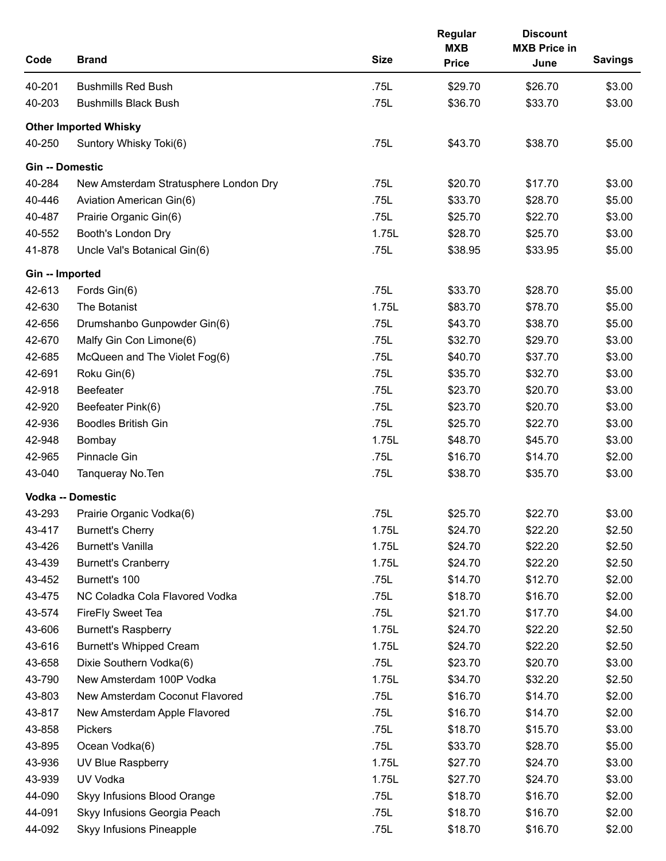| Code            | <b>Brand</b>                          | <b>Size</b> | Regular<br><b>MXB</b><br><b>Price</b> | <b>Discount</b><br><b>MXB Price in</b><br>June | <b>Savings</b> |
|-----------------|---------------------------------------|-------------|---------------------------------------|------------------------------------------------|----------------|
| 40-201          | <b>Bushmills Red Bush</b>             | .75L        | \$29.70                               | \$26.70                                        | \$3.00         |
| 40-203          | <b>Bushmills Black Bush</b>           | .75L        | \$36.70                               | \$33.70                                        | \$3.00         |
|                 | <b>Other Imported Whisky</b>          |             |                                       |                                                |                |
| 40-250          | Suntory Whisky Toki(6)                | .75L        | \$43.70                               | \$38.70                                        | \$5.00         |
| Gin -- Domestic |                                       |             |                                       |                                                |                |
| 40-284          | New Amsterdam Stratusphere London Dry | .75L        | \$20.70                               | \$17.70                                        | \$3.00         |
| 40-446          | Aviation American Gin(6)              | .75L        | \$33.70                               | \$28.70                                        | \$5.00         |
| 40-487          | Prairie Organic Gin(6)                | .75L        | \$25.70                               | \$22.70                                        | \$3.00         |
| 40-552          | Booth's London Dry                    | 1.75L       | \$28.70                               | \$25.70                                        | \$3.00         |
| 41-878          | Uncle Val's Botanical Gin(6)          | .75L        | \$38.95                               | \$33.95                                        | \$5.00         |
| Gin -- Imported |                                       |             |                                       |                                                |                |
| 42-613          | Fords Gin(6)                          | .75L        | \$33.70                               | \$28.70                                        | \$5.00         |
| 42-630          | The Botanist                          | 1.75L       | \$83.70                               | \$78.70                                        | \$5.00         |
| 42-656          | Drumshanbo Gunpowder Gin(6)           | .75L        | \$43.70                               | \$38.70                                        | \$5.00         |
| 42-670          | Malfy Gin Con Limone(6)               | .75L        | \$32.70                               | \$29.70                                        | \$3.00         |
| 42-685          | McQueen and The Violet Fog(6)         | .75L        | \$40.70                               | \$37.70                                        | \$3.00         |
| 42-691          | Roku Gin(6)                           | .75L        | \$35.70                               | \$32.70                                        | \$3.00         |
| 42-918          | Beefeater                             | .75L        | \$23.70                               | \$20.70                                        | \$3.00         |
| 42-920          | Beefeater Pink(6)                     | .75L        | \$23.70                               | \$20.70                                        | \$3.00         |
| 42-936          | <b>Boodles British Gin</b>            | .75L        | \$25.70                               | \$22.70                                        | \$3.00         |
| 42-948          | Bombay                                | 1.75L       | \$48.70                               | \$45.70                                        | \$3.00         |
| 42-965          | Pinnacle Gin                          | .75L        | \$16.70                               | \$14.70                                        | \$2.00         |
| 43-040          | Tanqueray No. Ten                     | .75L        | \$38.70                               | \$35.70                                        | \$3.00         |
|                 | <b>Vodka -- Domestic</b>              |             |                                       |                                                |                |
| 43-293          | Prairie Organic Vodka(6)              | .75L        | \$25.70                               | \$22.70                                        | \$3.00         |
| 43-417          | <b>Burnett's Cherry</b>               | 1.75L       | \$24.70                               | \$22.20                                        | \$2.50         |
| 43-426          | <b>Burnett's Vanilla</b>              | 1.75L       | \$24.70                               | \$22.20                                        | \$2.50         |
| 43-439          | <b>Burnett's Cranberry</b>            | 1.75L       | \$24.70                               | \$22.20                                        | \$2.50         |
| 43-452          | Burnett's 100                         | .75L        | \$14.70                               | \$12.70                                        | \$2.00         |
| 43-475          | NC Coladka Cola Flavored Vodka        | .75L        | \$18.70                               | \$16.70                                        | \$2.00         |
| 43-574          | <b>FireFly Sweet Tea</b>              | .75L        | \$21.70                               | \$17.70                                        | \$4.00         |
| 43-606          | <b>Burnett's Raspberry</b>            | 1.75L       | \$24.70                               | \$22.20                                        | \$2.50         |
| 43-616          | <b>Burnett's Whipped Cream</b>        | 1.75L       | \$24.70                               | \$22.20                                        | \$2.50         |
| 43-658          | Dixie Southern Vodka(6)               | .75L        | \$23.70                               | \$20.70                                        | \$3.00         |
| 43-790          | New Amsterdam 100P Vodka              | 1.75L       | \$34.70                               | \$32.20                                        | \$2.50         |
| 43-803          | New Amsterdam Coconut Flavored        | .75L        | \$16.70                               | \$14.70                                        | \$2.00         |
| 43-817          | New Amsterdam Apple Flavored          | .75L        | \$16.70                               | \$14.70                                        | \$2.00         |
| 43-858          | Pickers                               | .75L        | \$18.70                               | \$15.70                                        | \$3.00         |
| 43-895          | Ocean Vodka(6)                        | .75L        | \$33.70                               | \$28.70                                        | \$5.00         |
| 43-936          | UV Blue Raspberry                     | 1.75L       | \$27.70                               | \$24.70                                        | \$3.00         |
| 43-939          | UV Vodka                              | 1.75L       | \$27.70                               | \$24.70                                        | \$3.00         |
| 44-090          | Skyy Infusions Blood Orange           | .75L        | \$18.70                               | \$16.70                                        | \$2.00         |
| 44-091          | Skyy Infusions Georgia Peach          | .75L        | \$18.70                               | \$16.70                                        | \$2.00         |
| 44-092          | <b>Skyy Infusions Pineapple</b>       | .75L        | \$18.70                               | \$16.70                                        | \$2.00         |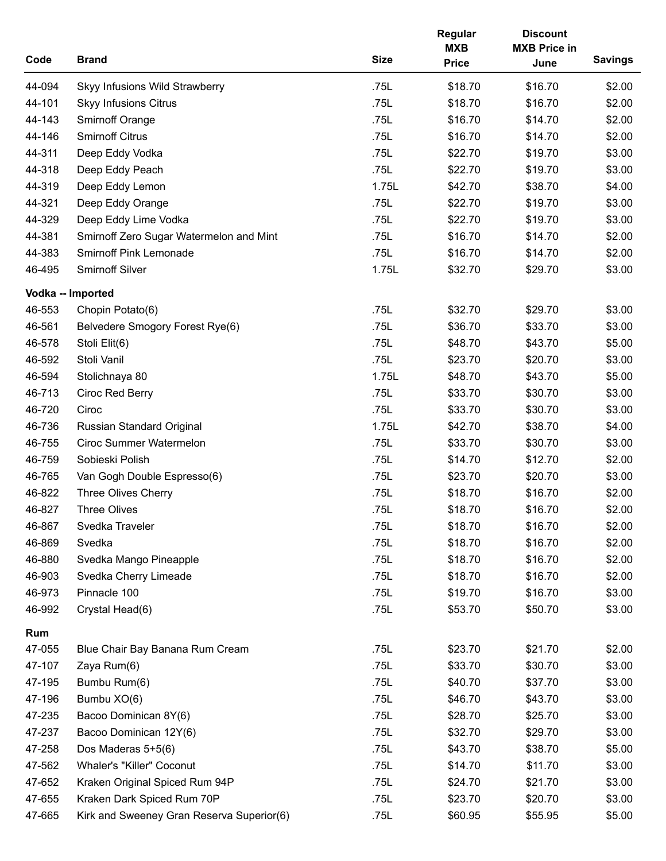| Code   | <b>Brand</b>                              | <b>Size</b> | Regular<br><b>MXB</b><br><b>Price</b> | <b>Discount</b><br><b>MXB Price in</b><br>June | <b>Savings</b> |
|--------|-------------------------------------------|-------------|---------------------------------------|------------------------------------------------|----------------|
| 44-094 | Skyy Infusions Wild Strawberry            | .75L        | \$18.70                               | \$16.70                                        | \$2.00         |
| 44-101 | <b>Skyy Infusions Citrus</b>              | .75L        | \$18.70                               | \$16.70                                        | \$2.00         |
| 44-143 | <b>Smirnoff Orange</b>                    | .75L        | \$16.70                               | \$14.70                                        | \$2.00         |
| 44-146 | <b>Smirnoff Citrus</b>                    | .75L        | \$16.70                               | \$14.70                                        | \$2.00         |
| 44-311 | Deep Eddy Vodka                           | .75L        | \$22.70                               | \$19.70                                        | \$3.00         |
| 44-318 | Deep Eddy Peach                           | .75L        | \$22.70                               | \$19.70                                        | \$3.00         |
| 44-319 | Deep Eddy Lemon                           | 1.75L       | \$42.70                               | \$38.70                                        | \$4.00         |
| 44-321 | Deep Eddy Orange                          | .75L        | \$22.70                               | \$19.70                                        | \$3.00         |
| 44-329 | Deep Eddy Lime Vodka                      | .75L        | \$22.70                               | \$19.70                                        | \$3.00         |
| 44-381 | Smirnoff Zero Sugar Watermelon and Mint   | .75L        | \$16.70                               | \$14.70                                        | \$2.00         |
| 44-383 | <b>Smirnoff Pink Lemonade</b>             | .75L        | \$16.70                               | \$14.70                                        | \$2.00         |
| 46-495 | <b>Smirnoff Silver</b>                    | 1.75L       | \$32.70                               | \$29.70                                        | \$3.00         |
|        | Vodka -- Imported                         |             |                                       |                                                |                |
| 46-553 | Chopin Potato(6)                          | .75L        | \$32.70                               | \$29.70                                        | \$3.00         |
| 46-561 | Belvedere Smogory Forest Rye(6)           | .75L        | \$36.70                               | \$33.70                                        | \$3.00         |
| 46-578 | Stoli Elit(6)                             | .75L        | \$48.70                               | \$43.70                                        | \$5.00         |
| 46-592 | Stoli Vanil                               | .75L        | \$23.70                               | \$20.70                                        | \$3.00         |
| 46-594 | Stolichnaya 80                            | 1.75L       | \$48.70                               | \$43.70                                        | \$5.00         |
| 46-713 | Ciroc Red Berry                           | .75L        | \$33.70                               | \$30.70                                        | \$3.00         |
| 46-720 | Ciroc                                     | .75L        | \$33.70                               | \$30.70                                        | \$3.00         |
| 46-736 | <b>Russian Standard Original</b>          | 1.75L       | \$42.70                               | \$38.70                                        | \$4.00         |
| 46-755 | <b>Ciroc Summer Watermelon</b>            | .75L        | \$33.70                               | \$30.70                                        | \$3.00         |
| 46-759 | Sobieski Polish                           | .75L        | \$14.70                               | \$12.70                                        | \$2.00         |
| 46-765 | Van Gogh Double Espresso(6)               | .75L        | \$23.70                               | \$20.70                                        | \$3.00         |
| 46-822 | Three Olives Cherry                       | .75L        | \$18.70                               | \$16.70                                        | \$2.00         |
| 46-827 | <b>Three Olives</b>                       | .75L        | \$18.70                               | \$16.70                                        | \$2.00         |
| 46-867 | Svedka Traveler                           | .75L        | \$18.70                               | \$16.70                                        | \$2.00         |
| 46-869 | Svedka                                    | .75L        | \$18.70                               | \$16.70                                        | \$2.00         |
| 46-880 | Svedka Mango Pineapple                    | .75L        | \$18.70                               | \$16.70                                        | \$2.00         |
| 46-903 | Svedka Cherry Limeade                     | .75L        | \$18.70                               | \$16.70                                        | \$2.00         |
| 46-973 | Pinnacle 100                              | .75L        | \$19.70                               | \$16.70                                        | \$3.00         |
| 46-992 | Crystal Head(6)                           | .75L        | \$53.70                               | \$50.70                                        | \$3.00         |
| Rum    |                                           |             |                                       |                                                |                |
| 47-055 | Blue Chair Bay Banana Rum Cream           | .75L        | \$23.70                               | \$21.70                                        | \$2.00         |
| 47-107 | Zaya Rum(6)                               | .75L        | \$33.70                               | \$30.70                                        | \$3.00         |
| 47-195 | Bumbu Rum(6)                              | .75L        | \$40.70                               | \$37.70                                        | \$3.00         |
| 47-196 | Bumbu XO(6)                               | .75L        | \$46.70                               | \$43.70                                        | \$3.00         |
| 47-235 | Bacoo Dominican 8Y(6)                     | .75L        | \$28.70                               | \$25.70                                        | \$3.00         |
| 47-237 | Bacoo Dominican 12Y(6)                    | .75L        | \$32.70                               | \$29.70                                        | \$3.00         |
| 47-258 | Dos Maderas 5+5(6)                        | .75L        | \$43.70                               | \$38.70                                        | \$5.00         |
| 47-562 | Whaler's "Killer" Coconut                 | .75L        | \$14.70                               | \$11.70                                        | \$3.00         |
| 47-652 | Kraken Original Spiced Rum 94P            | .75L        | \$24.70                               | \$21.70                                        | \$3.00         |
| 47-655 | Kraken Dark Spiced Rum 70P                | .75L        | \$23.70                               | \$20.70                                        | \$3.00         |
| 47-665 | Kirk and Sweeney Gran Reserva Superior(6) | .75L        | \$60.95                               | \$55.95                                        | \$5.00         |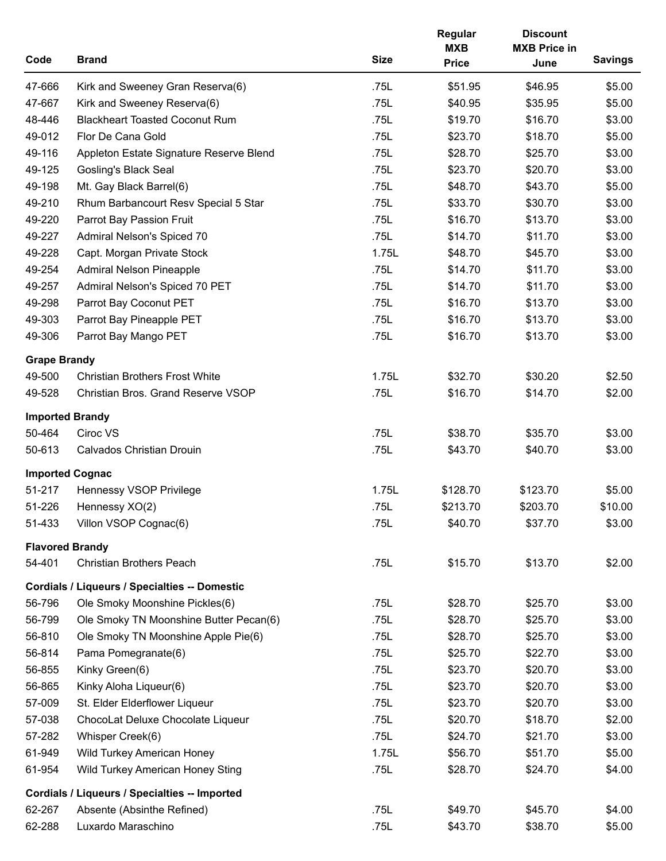| Code                   | <b>Brand</b>                                         | <b>Size</b> | Regular<br><b>MXB</b><br><b>Price</b> | <b>Discount</b><br><b>MXB Price in</b><br>June | <b>Savings</b> |
|------------------------|------------------------------------------------------|-------------|---------------------------------------|------------------------------------------------|----------------|
| 47-666                 | Kirk and Sweeney Gran Reserva(6)                     | .75L        | \$51.95                               | \$46.95                                        | \$5.00         |
| 47-667                 | Kirk and Sweeney Reserva(6)                          | .75L        | \$40.95                               | \$35.95                                        | \$5.00         |
| 48-446                 | <b>Blackheart Toasted Coconut Rum</b>                | .75L        | \$19.70                               | \$16.70                                        | \$3.00         |
| 49-012                 | Flor De Cana Gold                                    | .75L        | \$23.70                               | \$18.70                                        | \$5.00         |
| 49-116                 | Appleton Estate Signature Reserve Blend              | .75L        | \$28.70                               | \$25.70                                        | \$3.00         |
| 49-125                 | <b>Gosling's Black Seal</b>                          | .75L        | \$23.70                               | \$20.70                                        | \$3.00         |
| 49-198                 | Mt. Gay Black Barrel(6)                              | .75L        | \$48.70                               | \$43.70                                        | \$5.00         |
| 49-210                 | Rhum Barbancourt Resv Special 5 Star                 | .75L        | \$33.70                               | \$30.70                                        | \$3.00         |
| 49-220                 | Parrot Bay Passion Fruit                             | .75L        | \$16.70                               | \$13.70                                        | \$3.00         |
| 49-227                 | Admiral Nelson's Spiced 70                           | .75L        | \$14.70                               | \$11.70                                        | \$3.00         |
| 49-228                 | Capt. Morgan Private Stock                           | 1.75L       | \$48.70                               | \$45.70                                        | \$3.00         |
| 49-254                 | <b>Admiral Nelson Pineapple</b>                      | .75L        | \$14.70                               | \$11.70                                        | \$3.00         |
| 49-257                 | Admiral Nelson's Spiced 70 PET                       | .75L        | \$14.70                               | \$11.70                                        | \$3.00         |
| 49-298                 | Parrot Bay Coconut PET                               | .75L        | \$16.70                               | \$13.70                                        | \$3.00         |
| 49-303                 | Parrot Bay Pineapple PET                             | .75L        | \$16.70                               | \$13.70                                        | \$3.00         |
| 49-306                 | Parrot Bay Mango PET                                 | .75L        | \$16.70                               | \$13.70                                        | \$3.00         |
| <b>Grape Brandy</b>    |                                                      |             |                                       |                                                |                |
| 49-500                 | <b>Christian Brothers Frost White</b>                | 1.75L       | \$32.70                               | \$30.20                                        | \$2.50         |
| 49-528                 | Christian Bros. Grand Reserve VSOP                   | .75L        | \$16.70                               | \$14.70                                        | \$2.00         |
| <b>Imported Brandy</b> |                                                      |             |                                       |                                                |                |
| 50-464                 | Ciroc VS                                             | .75L        | \$38.70                               | \$35.70                                        | \$3.00         |
| 50-613                 | <b>Calvados Christian Drouin</b>                     | .75L        | \$43.70                               | \$40.70                                        | \$3.00         |
|                        | <b>Imported Cognac</b>                               |             |                                       |                                                |                |
| 51-217                 | Hennessy VSOP Privilege                              | 1.75L       | \$128.70                              | \$123.70                                       | \$5.00         |
| 51-226                 | Hennessy XO(2)                                       | .75L        | \$213.70                              | \$203.70                                       | \$10.00        |
| 51-433                 | Villon VSOP Cognac(6)                                | .75L        | \$40.70                               | \$37.70                                        | \$3.00         |
| <b>Flavored Brandy</b> |                                                      |             |                                       |                                                |                |
| 54-401                 | <b>Christian Brothers Peach</b>                      | .75L        | \$15.70                               | \$13.70                                        | \$2.00         |
|                        | <b>Cordials / Liqueurs / Specialties -- Domestic</b> |             |                                       |                                                |                |
| 56-796                 | Ole Smoky Moonshine Pickles(6)                       | .75L        | \$28.70                               | \$25.70                                        | \$3.00         |
| 56-799                 | Ole Smoky TN Moonshine Butter Pecan(6)               | .75L        | \$28.70                               | \$25.70                                        | \$3.00         |
| 56-810                 | Ole Smoky TN Moonshine Apple Pie(6)                  | .75L        | \$28.70                               | \$25.70                                        | \$3.00         |
| 56-814                 | Pama Pomegranate(6)                                  | .75L        | \$25.70                               | \$22.70                                        | \$3.00         |
| 56-855                 | Kinky Green(6)                                       | .75L        | \$23.70                               | \$20.70                                        | \$3.00         |
| 56-865                 | Kinky Aloha Liqueur(6)                               | .75L        | \$23.70                               | \$20.70                                        | \$3.00         |
| 57-009                 | St. Elder Elderflower Liqueur                        | .75L        | \$23.70                               | \$20.70                                        | \$3.00         |
| 57-038                 | ChocoLat Deluxe Chocolate Liqueur                    | .75L        | \$20.70                               | \$18.70                                        | \$2.00         |
| 57-282                 | Whisper Creek(6)                                     | .75L        | \$24.70                               | \$21.70                                        | \$3.00         |
| 61-949                 | Wild Turkey American Honey                           | 1.75L       | \$56.70                               | \$51.70                                        | \$5.00         |
| 61-954                 | Wild Turkey American Honey Sting                     | .75L        | \$28.70                               | \$24.70                                        | \$4.00         |
|                        | Cordials / Liqueurs / Specialties -- Imported        |             |                                       |                                                |                |
| 62-267                 | Absente (Absinthe Refined)                           | .75L        | \$49.70                               | \$45.70                                        | \$4.00         |
| 62-288                 | Luxardo Maraschino                                   | .75L        | \$43.70                               | \$38.70                                        | \$5.00         |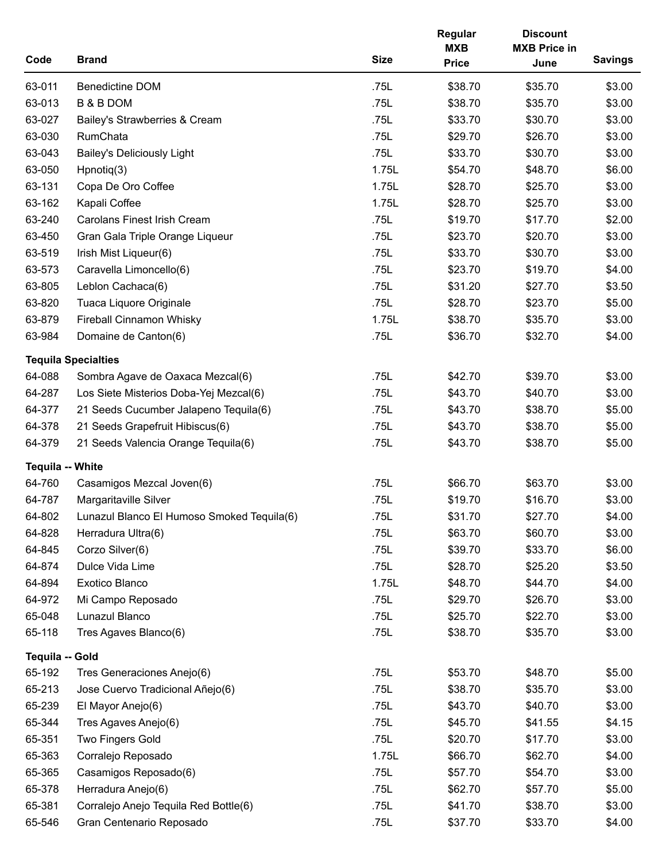| Code                   | <b>Brand</b>                               | <b>Size</b> | Regular<br><b>MXB</b><br><b>Price</b> | <b>Discount</b><br><b>MXB Price in</b><br>June | <b>Savings</b> |
|------------------------|--------------------------------------------|-------------|---------------------------------------|------------------------------------------------|----------------|
| 63-011                 | <b>Benedictine DOM</b>                     | .75L        | \$38.70                               | \$35.70                                        | \$3.00         |
| 63-013                 | <b>B &amp; B DOM</b>                       | .75L        | \$38.70                               | \$35.70                                        | \$3.00         |
| 63-027                 | Bailey's Strawberries & Cream              | .75L        | \$33.70                               | \$30.70                                        | \$3.00         |
| 63-030                 | RumChata                                   | .75L        | \$29.70                               | \$26.70                                        | \$3.00         |
| 63-043                 | <b>Bailey's Deliciously Light</b>          | .75L        | \$33.70                               | \$30.70                                        | \$3.00         |
| 63-050                 | $H$ pnotiq $(3)$                           | 1.75L       | \$54.70                               | \$48.70                                        | \$6.00         |
| 63-131                 | Copa De Oro Coffee                         | 1.75L       | \$28.70                               | \$25.70                                        | \$3.00         |
| 63-162                 | Kapali Coffee                              | 1.75L       | \$28.70                               | \$25.70                                        | \$3.00         |
| 63-240                 | <b>Carolans Finest Irish Cream</b>         | .75L        | \$19.70                               | \$17.70                                        | \$2.00         |
| 63-450                 | Gran Gala Triple Orange Liqueur            | .75L        | \$23.70                               | \$20.70                                        | \$3.00         |
| 63-519                 | Irish Mist Liqueur(6)                      | .75L        | \$33.70                               | \$30.70                                        | \$3.00         |
| 63-573                 | Caravella Limoncello(6)                    | .75L        | \$23.70                               | \$19.70                                        | \$4.00         |
| 63-805                 | Leblon Cachaca(6)                          | .75L        | \$31.20                               | \$27.70                                        | \$3.50         |
| 63-820                 | Tuaca Liquore Originale                    | .75L        | \$28.70                               | \$23.70                                        | \$5.00         |
| 63-879                 | <b>Fireball Cinnamon Whisky</b>            | 1.75L       | \$38.70                               | \$35.70                                        | \$3.00         |
| 63-984                 | Domaine de Canton(6)                       | .75L        | \$36.70                               | \$32.70                                        | \$4.00         |
|                        | <b>Tequila Specialties</b>                 |             |                                       |                                                |                |
| 64-088                 | Sombra Agave de Oaxaca Mezcal(6)           | .75L        | \$42.70                               | \$39.70                                        | \$3.00         |
| 64-287                 | Los Siete Misterios Doba-Yej Mezcal(6)     | .75L        | \$43.70                               | \$40.70                                        | \$3.00         |
| 64-377                 | 21 Seeds Cucumber Jalapeno Tequila(6)      | .75L        | \$43.70                               | \$38.70                                        | \$5.00         |
| 64-378                 | 21 Seeds Grapefruit Hibiscus(6)            | .75L        | \$43.70                               | \$38.70                                        | \$5.00         |
| 64-379                 | 21 Seeds Valencia Orange Tequila(6)        | .75L        | \$43.70                               | \$38.70                                        | \$5.00         |
| Tequila -- White       |                                            |             |                                       |                                                |                |
| 64-760                 | Casamigos Mezcal Joven(6)                  | .75L        | \$66.70                               | \$63.70                                        | \$3.00         |
| 64-787                 | Margaritaville Silver                      | .75L        | \$19.70                               | \$16.70                                        | \$3.00         |
| 64-802                 | Lunazul Blanco El Humoso Smoked Tequila(6) | .75L        | \$31.70                               | \$27.70                                        | \$4.00         |
| 64-828                 | Herradura Ultra(6)                         | .75L        | \$63.70                               | \$60.70                                        | \$3.00         |
| 64-845                 | Corzo Silver(6)                            | .75L        | \$39.70                               | \$33.70                                        | \$6.00         |
| 64-874                 | Dulce Vida Lime                            | .75L        | \$28.70                               | \$25.20                                        | \$3.50         |
| 64-894                 | Exotico Blanco                             | 1.75L       | \$48.70                               | \$44.70                                        | \$4.00         |
| 64-972                 | Mi Campo Reposado                          | .75L        | \$29.70                               | \$26.70                                        | \$3.00         |
| 65-048                 | Lunazul Blanco                             | .75L        | \$25.70                               | \$22.70                                        | \$3.00         |
| 65-118                 | Tres Agaves Blanco(6)                      | .75L        | \$38.70                               | \$35.70                                        | \$3.00         |
| <b>Tequila -- Gold</b> |                                            |             |                                       |                                                |                |
| 65-192                 | Tres Generaciones Anejo(6)                 | .75L        | \$53.70                               | \$48.70                                        | \$5.00         |
| 65-213                 | Jose Cuervo Tradicional Añejo(6)           | .75L        | \$38.70                               | \$35.70                                        | \$3.00         |
| 65-239                 | El Mayor Anejo(6)                          | .75L        | \$43.70                               | \$40.70                                        | \$3.00         |
| 65-344                 | Tres Agaves Anejo(6)                       | .75L        | \$45.70                               | \$41.55                                        | \$4.15         |
| 65-351                 | <b>Two Fingers Gold</b>                    | .75L        | \$20.70                               | \$17.70                                        | \$3.00         |
| 65-363                 | Corralejo Reposado                         | 1.75L       | \$66.70                               | \$62.70                                        | \$4.00         |
| 65-365                 | Casamigos Reposado(6)                      | .75L        | \$57.70                               | \$54.70                                        | \$3.00         |
| 65-378                 | Herradura Anejo(6)                         | .75L        | \$62.70                               | \$57.70                                        | \$5.00         |
| 65-381                 | Corralejo Anejo Tequila Red Bottle(6)      | .75L        | \$41.70                               | \$38.70                                        | \$3.00         |
| 65-546                 | Gran Centenario Reposado                   | .75L        | \$37.70                               | \$33.70                                        | \$4.00         |